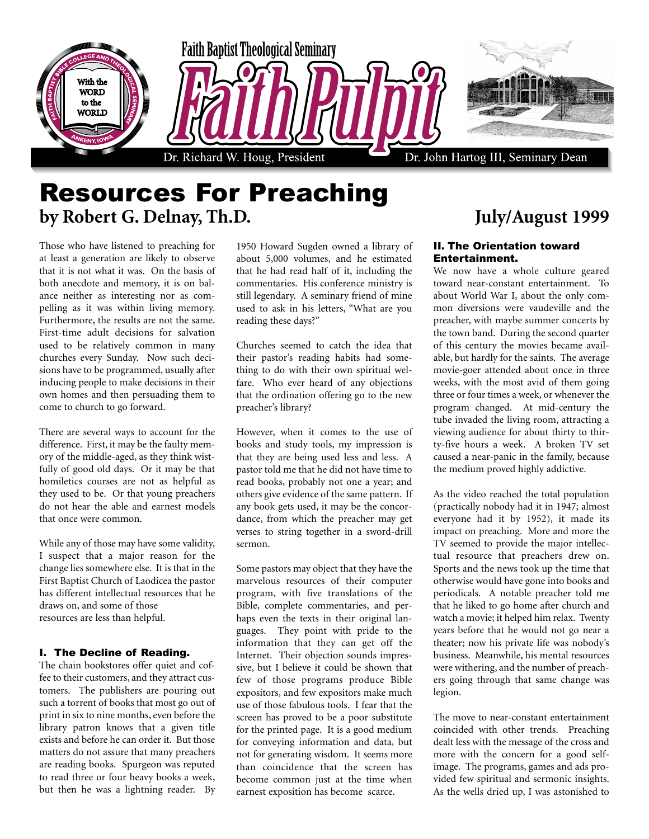

# Resources For Preaching by Robert G. Delnay, Th.D. July/August 1999

Those who have listened to preaching for at least a generation are likely to observe that it is not what it was. On the basis of both anecdote and memory, it is on balance neither as interesting nor as compelling as it was within living memory. Furthermore, the results are not the same. First-time adult decisions for salvation used to be relatively common in many churches every Sunday. Now such decisions have to be programmed, usually after inducing people to make decisions in their own homes and then persuading them to come to church to go forward.

There are several ways to account for the difference. First, it may be the faulty memory of the middle-aged, as they think wistfully of good old days. Or it may be that homiletics courses are not as helpful as they used to be. Or that young preachers do not hear the able and earnest models that once were common.

While any of those may have some validity, I suspect that a major reason for the change lies somewhere else. It is that in the First Baptist Church of Laodicea the pastor has different intellectual resources that he draws on, and some of those resources are less than helpful.

## I. The Decline of Reading.

The chain bookstores offer quiet and coffee to their customers, and they attract customers. The publishers are pouring out such a torrent of books that most go out of print in six to nine months, even before the library patron knows that a given title exists and before he can order it. But those matters do not assure that many preachers are reading books. Spurgeon was reputed to read three or four heavy books a week, but then he was a lightning reader. By

1950 Howard Sugden owned a library of about 5,000 volumes, and he estimated that he had read half of it, including the commentaries. His conference ministry is still legendary. A seminary friend of mine used to ask in his letters, "What are you reading these days?"

Churches seemed to catch the idea that their pastor's reading habits had something to do with their own spiritual welfare. Who ever heard of any objections that the ordination offering go to the new preacher's library?

However, when it comes to the use of books and study tools, my impression is that they are being used less and less. A pastor told me that he did not have time to read books, probably not one a year; and others give evidence of the same pattern. If any book gets used, it may be the concordance, from which the preacher may get verses to string together in a sword-drill sermon.

Some pastors may object that they have the marvelous resources of their computer program, with five translations of the Bible, complete commentaries, and perhaps even the texts in their original languages. They point with pride to the information that they can get off the Internet. Their objection sounds impressive, but I believe it could be shown that few of those programs produce Bible expositors, and few expositors make much use of those fabulous tools. I fear that the screen has proved to be a poor substitute for the printed page. It is a good medium for conveying information and data, but not for generating wisdom. It seems more than coincidence that the screen has become common just at the time when earnest exposition has become scarce.

# II. The Orientation toward Entertainment.

We now have a whole culture geared toward near-constant entertainment. To about World War I, about the only common diversions were vaudeville and the preacher, with maybe summer concerts by the town band. During the second quarter of this century the movies became available, but hardly for the saints. The average movie-goer attended about once in three weeks, with the most avid of them going three or four times a week, or whenever the program changed. At mid-century the tube invaded the living room, attracting a viewing audience for about thirty to thirty-five hours a week. A broken TV set caused a near-panic in the family, because the medium proved highly addictive.

As the video reached the total population (practically nobody had it in 1947; almost everyone had it by 1952), it made its impact on preaching. More and more the TV seemed to provide the major intellectual resource that preachers drew on. Sports and the news took up the time that otherwise would have gone into books and periodicals. A notable preacher told me that he liked to go home after church and watch a movie; it helped him relax. Twenty years before that he would not go near a theater; now his private life was nobody's business. Meanwhile, his mental resources were withering, and the number of preachers going through that same change was legion.

The move to near-constant entertainment coincided with other trends. Preaching dealt less with the message of the cross and more with the concern for a good selfimage. The programs, games and ads provided few spiritual and sermonic insights. As the wells dried up, I was astonished to